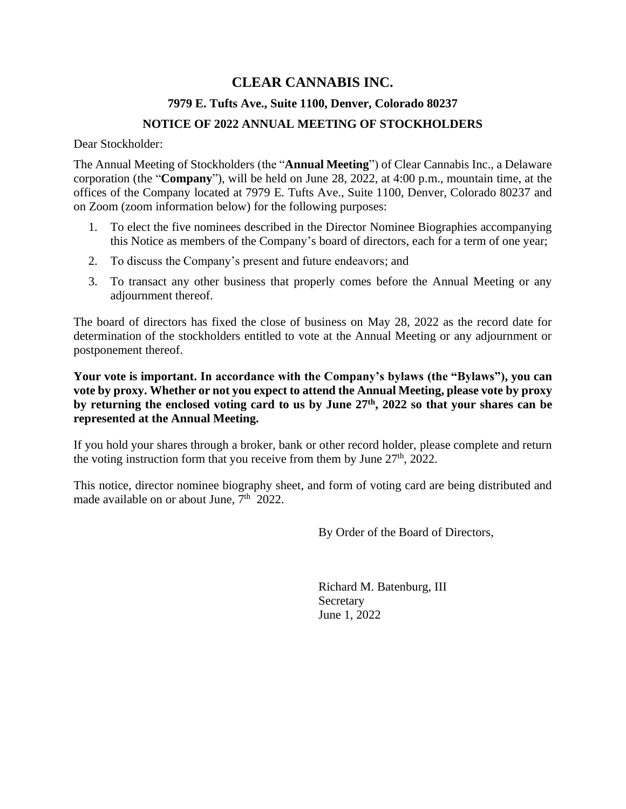# **CLEAR CANNABIS INC.**

## **7979 E. Tufts Ave., Suite 1100, Denver, Colorado 80237**

#### **NOTICE OF 2022 ANNUAL MEETING OF STOCKHOLDERS**

Dear Stockholder:

The Annual Meeting of Stockholders (the "**Annual Meeting**") of Clear Cannabis Inc., a Delaware corporation (the "**Company**"), will be held on June 28, 2022, at 4:00 p.m., mountain time, at the offices of the Company located at 7979 E. Tufts Ave., Suite 1100, Denver, Colorado 80237 and on Zoom (zoom information below) for the following purposes:

- 1. To elect the five nominees described in the Director Nominee Biographies accompanying this Notice as members of the Company's board of directors, each for a term of one year;
- 2. To discuss the Company's present and future endeavors; and
- 3. To transact any other business that properly comes before the Annual Meeting or any adjournment thereof.

The board of directors has fixed the close of business on May 28, 2022 as the record date for determination of the stockholders entitled to vote at the Annual Meeting or any adjournment or postponement thereof.

**Your vote is important. In accordance with the Company's bylaws (the "Bylaws"), you can vote by proxy. Whether or not you expect to attend the Annual Meeting, please vote by proxy by returning the enclosed voting card to us by June 27th, 2022 so that your shares can be represented at the Annual Meeting.**

If you hold your shares through a broker, bank or other record holder, please complete and return the voting instruction form that you receive from them by June  $27<sup>th</sup>$ , 2022.

This notice, director nominee biography sheet, and form of voting card are being distributed and made available on or about June,  $7<sup>th</sup>$  2022.

By Order of the Board of Directors,

Richard M. Batenburg, III Secretary June 1, 2022